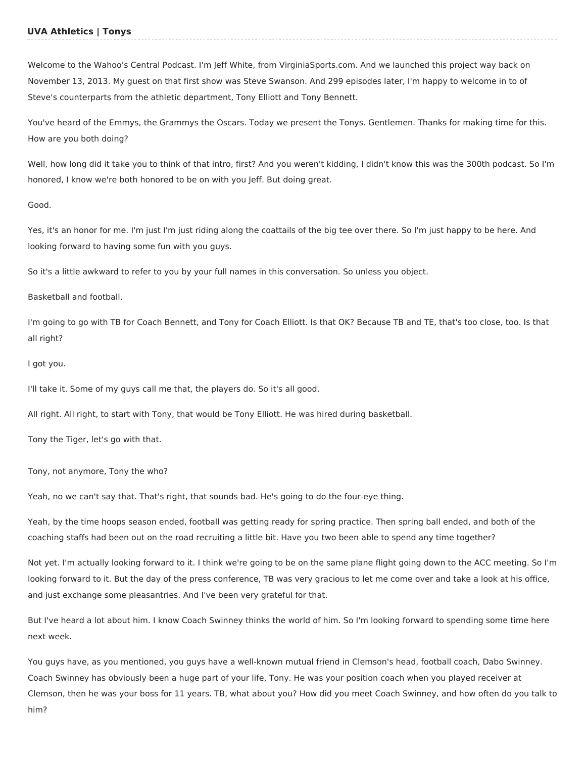# **UVA Athletics | Tonys**

Welcome to the Wahoo's Central Podcast. I'm Jeff White, from VirginiaSports.com. And we launched this project way back on November 13, 2013. My guest on that first show was Steve Swanson. And 299 episodes later, I'm happy to welcome in to of Steve's counterparts from the athletic department, Tony Elliott and Tony Bennett.

You've heard of the Emmys, the Grammys the Oscars. Today we present the Tonys. Gentlemen. Thanks for making time for this. How are you both doing?

Well, how long did it take you to think of that intro, first? And you weren't kidding, I didn't know this was the 300th podcast. So I'm honored, I know we're both honored to be on with you Jeff. But doing great.

### Good.

Yes, it's an honor for me. I'm just I'm just riding along the coattails of the big tee over there. So I'm just happy to be here. And looking forward to having some fun with you guys.

So it's a little awkward to refer to you by your full names in this conversation. So unless you object.

## Basketball and football.

I'm going to go with TB for Coach Bennett, and Tony for Coach Elliott. Is that OK? Because TB and TE, that's too close, too. Is that all right?

### I got you.

I'll take it. Some of my guys call me that, the players do. So it's all good.

All right. All right, to start with Tony, that would be Tony Elliott. He was hired during basketball.

Tony the Tiger, let's go with that.

Tony, not anymore, Tony the who?

Yeah, no we can't say that. That's right, that sounds bad. He's going to do the four-eye thing.

Yeah, by the time hoops season ended, football was getting ready for spring practice. Then spring ball ended, and both of the coaching staffs had been out on the road recruiting a little bit. Have you two been able to spend any time together?

Not yet. I'm actually looking forward to it. I think we're going to be on the same plane flight going down to the ACC meeting. So I'm looking forward to it. But the day of the press conference, TB was very gracious to let me come over and take a look at his office, and just exchange some pleasantries. And I've been very grateful for that.

But I've heard a lot about him. I know Coach Swinney thinks the world of him. So I'm looking forward to spending some time here next week.

You guys have, as you mentioned, you guys have a well-known mutual friend in Clemson's head, football coach, Dabo Swinney. Coach Swinney has obviously been a huge part of your life, Tony. He was your position coach when you played receiver at Clemson, then he was your boss for 11 years. TB, what about you? How did you meet Coach Swinney, and how often do you talk to him?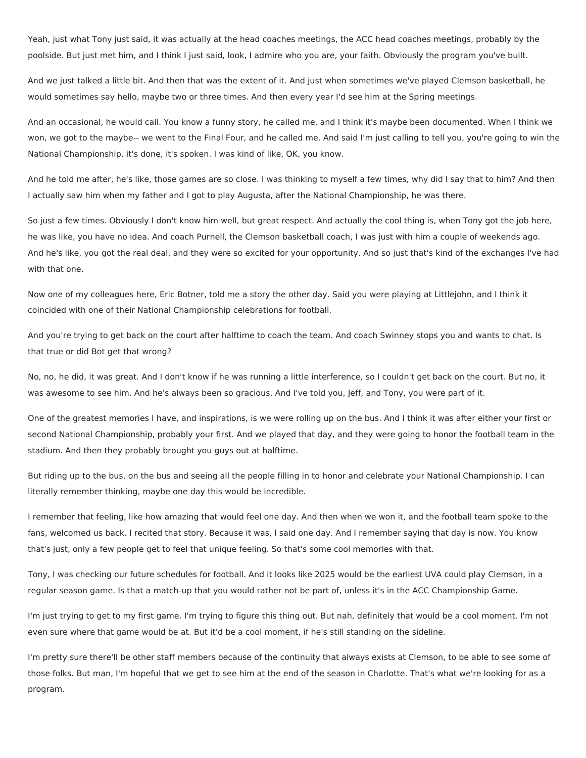Yeah, just what Tony just said, it was actually at the head coaches meetings, the ACC head coaches meetings, probably by the poolside. But just met him, and I think I just said, look, I admire who you are, your faith. Obviously the program you've built.

And we just talked a little bit. And then that was the extent of it. And just when sometimes we've played Clemson basketball, he would sometimes say hello, maybe two or three times. And then every year I'd see him at the Spring meetings.

And an occasional, he would call. You know a funny story, he called me, and I think it's maybe been documented. When I think we won, we got to the maybe-- we went to the Final Four, and he called me. And said I'm just calling to tell you, you're going to win the National Championship, it's done, it's spoken. I was kind of like, OK, you know.

And he told me after, he's like, those games are so close. I was thinking to myself a few times, why did I say that to him? And then I actually saw him when my father and I got to play Augusta, after the National Championship, he was there.

So just a few times. Obviously I don't know him well, but great respect. And actually the cool thing is, when Tony got the job here, he was like, you have no idea. And coach Purnell, the Clemson basketball coach, I was just with him a couple of weekends ago. And he's like, you got the real deal, and they were so excited for your opportunity. And so just that's kind of the exchanges I've had with that one.

Now one of my colleagues here, Eric Botner, told me a story the other day. Said you were playing at Littlejohn, and I think it coincided with one of their National Championship celebrations for football.

And you're trying to get back on the court after halftime to coach the team. And coach Swinney stops you and wants to chat. Is that true or did Bot get that wrong?

No, no, he did, it was great. And I don't know if he was running a little interference, so I couldn't get back on the court. But no, it was awesome to see him. And he's always been so gracious. And I've told you, Jeff, and Tony, you were part of it.

One of the greatest memories I have, and inspirations, is we were rolling up on the bus. And I think it was after either your first or second National Championship, probably your first. And we played that day, and they were going to honor the football team in the stadium. And then they probably brought you guys out at halftime.

But riding up to the bus, on the bus and seeing all the people filling in to honor and celebrate your National Championship. I can literally remember thinking, maybe one day this would be incredible.

I remember that feeling, like how amazing that would feel one day. And then when we won it, and the football team spoke to the fans, welcomed us back. I recited that story. Because it was, I said one day. And I remember saying that day is now. You know that's just, only a few people get to feel that unique feeling. So that's some cool memories with that.

Tony, I was checking our future schedules for football. And it looks like 2025 would be the earliest UVA could play Clemson, in a regular season game. Is that a match-up that you would rather not be part of, unless it's in the ACC Championship Game.

I'm just trying to get to my first game. I'm trying to figure this thing out. But nah, definitely that would be a cool moment. I'm not even sure where that game would be at. But it'd be a cool moment, if he's still standing on the sideline.

I'm pretty sure there'll be other staff members because of the continuity that always exists at Clemson, to be able to see some of those folks. But man, I'm hopeful that we get to see him at the end of the season in Charlotte. That's what we're looking for as a program.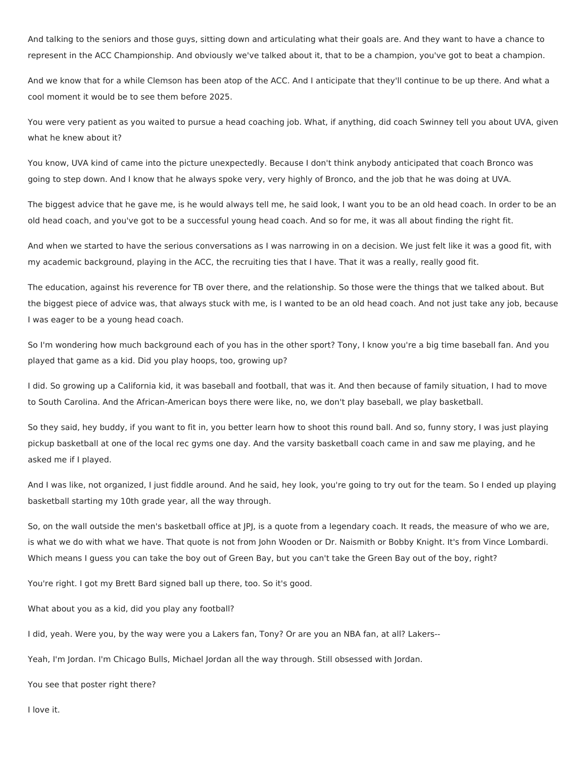And talking to the seniors and those guys, sitting down and articulating what their goals are. And they want to have a chance to represent in the ACC Championship. And obviously we've talked about it, that to be a champion, you've got to beat a champion.

And we know that for a while Clemson has been atop of the ACC. And I anticipate that they'll continue to be up there. And what a cool moment it would be to see them before 2025.

You were very patient as you waited to pursue a head coaching job. What, if anything, did coach Swinney tell you about UVA, given what he knew about it?

You know, UVA kind of came into the picture unexpectedly. Because I don't think anybody anticipated that coach Bronco was going to step down. And I know that he always spoke very, very highly of Bronco, and the job that he was doing at UVA.

The biggest advice that he gave me, is he would always tell me, he said look, I want you to be an old head coach. In order to be an old head coach, and you've got to be a successful young head coach. And so for me, it was all about finding the right fit.

And when we started to have the serious conversations as I was narrowing in on a decision. We just felt like it was a good fit, with my academic background, playing in the ACC, the recruiting ties that I have. That it was a really, really good fit.

The education, against his reverence for TB over there, and the relationship. So those were the things that we talked about. But the biggest piece of advice was, that always stuck with me, is I wanted to be an old head coach. And not just take any job, because I was eager to be a young head coach.

So I'm wondering how much background each of you has in the other sport? Tony, I know you're a big time baseball fan. And you played that game as a kid. Did you play hoops, too, growing up?

I did. So growing up a California kid, it was baseball and football, that was it. And then because of family situation, I had to move to South Carolina. And the African-American boys there were like, no, we don't play baseball, we play basketball.

So they said, hey buddy, if you want to fit in, you better learn how to shoot this round ball. And so, funny story, I was just playing pickup basketball at one of the local rec gyms one day. And the varsity basketball coach came in and saw me playing, and he asked me if I played.

And I was like, not organized, I just fiddle around. And he said, hey look, you're going to try out for the team. So I ended up playing basketball starting my 10th grade year, all the way through.

So, on the wall outside the men's basketball office at JPJ, is a quote from a legendary coach. It reads, the measure of who we are, is what we do with what we have. That quote is not from John Wooden or Dr. Naismith or Bobby Knight. It's from Vince Lombardi. Which means I guess you can take the boy out of Green Bay, but you can't take the Green Bay out of the boy, right?

You're right. I got my Brett Bard signed ball up there, too. So it's good.

What about you as a kid, did you play any football?

I did, yeah. Were you, by the way were you a Lakers fan, Tony? Or are you an NBA fan, at all? Lakers--

Yeah, I'm Jordan. I'm Chicago Bulls, Michael Jordan all the way through. Still obsessed with Jordan.

You see that poster right there?

I love it.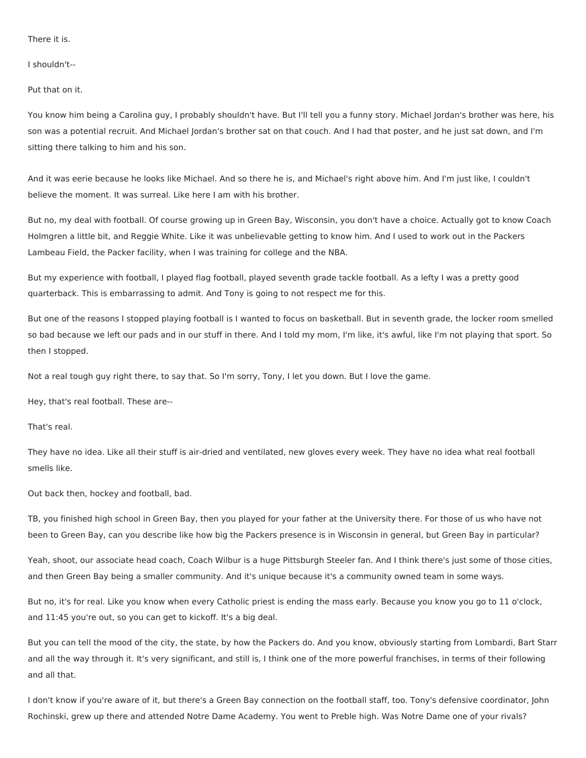There it is.

I shouldn't--

Put that on it.

You know him being a Carolina guy, I probably shouldn't have. But I'll tell you a funny story. Michael Jordan's brother was here, his son was a potential recruit. And Michael Jordan's brother sat on that couch. And I had that poster, and he just sat down, and I'm sitting there talking to him and his son.

And it was eerie because he looks like Michael. And so there he is, and Michael's right above him. And I'm just like, I couldn't believe the moment. It was surreal. Like here I am with his brother.

But no, my deal with football. Of course growing up in Green Bay, Wisconsin, you don't have a choice. Actually got to know Coach Holmgren a little bit, and Reggie White. Like it was unbelievable getting to know him. And I used to work out in the Packers Lambeau Field, the Packer facility, when I was training for college and the NBA.

But my experience with football, I played flag football, played seventh grade tackle football. As a lefty I was a pretty good quarterback. This is embarrassing to admit. And Tony is going to not respect me for this.

But one of the reasons I stopped playing football is I wanted to focus on basketball. But in seventh grade, the locker room smelled so bad because we left our pads and in our stuff in there. And I told my mom, I'm like, it's awful, like I'm not playing that sport. So then I stopped.

Not a real tough guy right there, to say that. So I'm sorry, Tony, I let you down. But I love the game.

Hey, that's real football. These are--

That's real.

They have no idea. Like all their stuff is air-dried and ventilated, new gloves every week. They have no idea what real football smells like.

Out back then, hockey and football, bad.

TB, you finished high school in Green Bay, then you played for your father at the University there. For those of us who have not been to Green Bay, can you describe like how big the Packers presence is in Wisconsin in general, but Green Bay in particular?

Yeah, shoot, our associate head coach, Coach Wilbur is a huge Pittsburgh Steeler fan. And I think there's just some of those cities, and then Green Bay being a smaller community. And it's unique because it's a community owned team in some ways.

But no, it's for real. Like you know when every Catholic priest is ending the mass early. Because you know you go to 11 o'clock, and 11:45 you're out, so you can get to kickoff. It's a big deal.

But you can tell the mood of the city, the state, by how the Packers do. And you know, obviously starting from Lombardi, Bart Starr and all the way through it. It's very significant, and still is, I think one of the more powerful franchises, in terms of their following and all that.

I don't know if you're aware of it, but there's a Green Bay connection on the football staff, too. Tony's defensive coordinator, John Rochinski, grew up there and attended Notre Dame Academy. You went to Preble high. Was Notre Dame one of your rivals?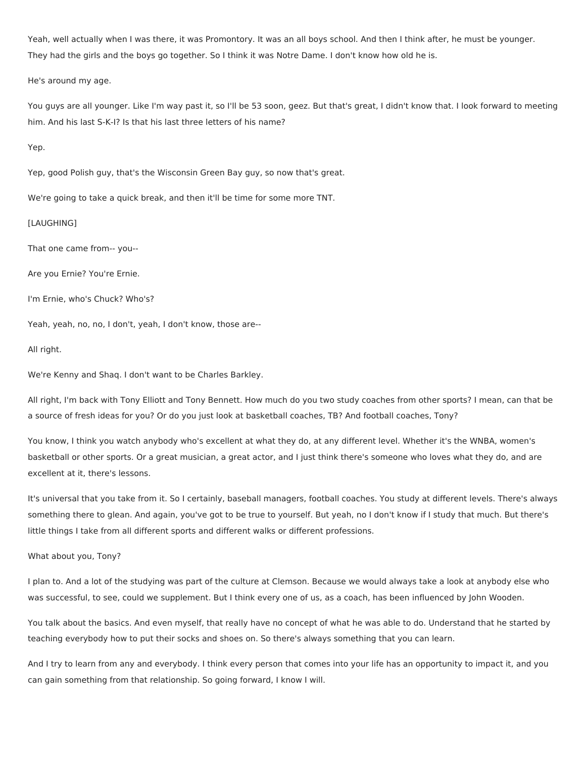Yeah, well actually when I was there, it was Promontory. It was an all boys school. And then I think after, he must be younger. They had the girls and the boys go together. So I think it was Notre Dame. I don't know how old he is.

He's around my age.

You guys are all younger. Like I'm way past it, so I'll be 53 soon, geez. But that's great, I didn't know that. I look forward to meeting him. And his last S-K-I? Is that his last three letters of his name?

# Yep.

Yep, good Polish guy, that's the Wisconsin Green Bay guy, so now that's great.

We're going to take a quick break, and then it'll be time for some more TNT.

# [LAUGHING]

That one came from-- you--

Are you Ernie? You're Ernie.

I'm Ernie, who's Chuck? Who's?

Yeah, yeah, no, no, I don't, yeah, I don't know, those are--

## All right.

We're Kenny and Shaq. I don't want to be Charles Barkley.

All right, I'm back with Tony Elliott and Tony Bennett. How much do you two study coaches from other sports? I mean, can that be a source of fresh ideas for you? Or do you just look at basketball coaches, TB? And football coaches, Tony?

You know, I think you watch anybody who's excellent at what they do, at any different level. Whether it's the WNBA, women's basketball or other sports. Or a great musician, a great actor, and I just think there's someone who loves what they do, and are excellent at it, there's lessons.

It's universal that you take from it. So I certainly, baseball managers, football coaches. You study at different levels. There's always something there to glean. And again, you've got to be true to yourself. But yeah, no I don't know if I study that much. But there's little things I take from all different sports and different walks or different professions.

# What about you, Tony?

I plan to. And a lot of the studying was part of the culture at Clemson. Because we would always take a look at anybody else who was successful, to see, could we supplement. But I think every one of us, as a coach, has been influenced by John Wooden.

You talk about the basics. And even myself, that really have no concept of what he was able to do. Understand that he started by teaching everybody how to put their socks and shoes on. So there's always something that you can learn.

And I try to learn from any and everybody. I think every person that comes into your life has an opportunity to impact it, and you can gain something from that relationship. So going forward, I know I will.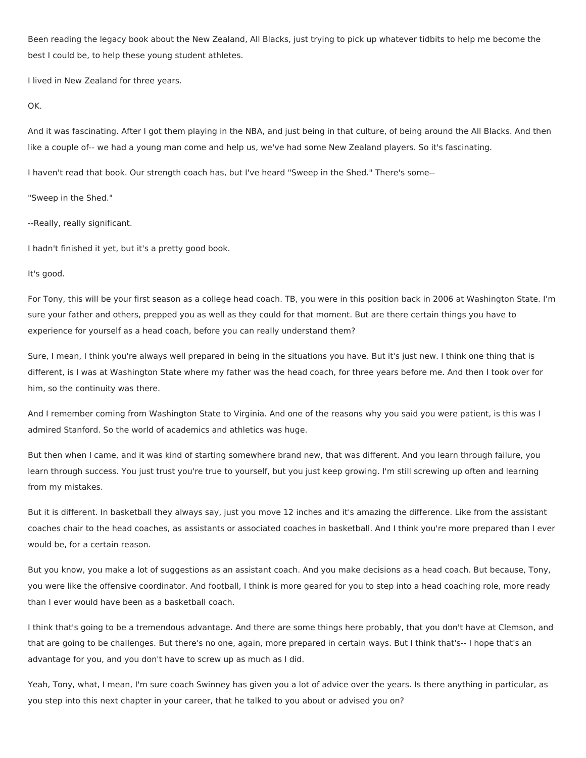Been reading the legacy book about the New Zealand, All Blacks, just trying to pick up whatever tidbits to help me become the best I could be, to help these young student athletes.

I lived in New Zealand for three years.

### OK.

And it was fascinating. After I got them playing in the NBA, and just being in that culture, of being around the All Blacks. And then like a couple of-- we had a young man come and help us, we've had some New Zealand players. So it's fascinating.

I haven't read that book. Our strength coach has, but I've heard "Sweep in the Shed." There's some--

"Sweep in the Shed."

--Really, really significant.

I hadn't finished it yet, but it's a pretty good book.

## It's good.

For Tony, this will be your first season as a college head coach. TB, you were in this position back in 2006 at Washington State. I'm sure your father and others, prepped you as well as they could for that moment. But are there certain things you have to experience for yourself as a head coach, before you can really understand them?

Sure, I mean, I think you're always well prepared in being in the situations you have. But it's just new. I think one thing that is different, is I was at Washington State where my father was the head coach, for three years before me. And then I took over for him, so the continuity was there.

And I remember coming from Washington State to Virginia. And one of the reasons why you said you were patient, is this was I admired Stanford. So the world of academics and athletics was huge.

But then when I came, and it was kind of starting somewhere brand new, that was different. And you learn through failure, you learn through success. You just trust you're true to yourself, but you just keep growing. I'm still screwing up often and learning from my mistakes.

But it is different. In basketball they always say, just you move 12 inches and it's amazing the difference. Like from the assistant coaches chair to the head coaches, as assistants or associated coaches in basketball. And I think you're more prepared than I ever would be, for a certain reason.

But you know, you make a lot of suggestions as an assistant coach. And you make decisions as a head coach. But because, Tony, you were like the offensive coordinator. And football, I think is more geared for you to step into a head coaching role, more ready than I ever would have been as a basketball coach.

I think that's going to be a tremendous advantage. And there are some things here probably, that you don't have at Clemson, and that are going to be challenges. But there's no one, again, more prepared in certain ways. But I think that's-- I hope that's an advantage for you, and you don't have to screw up as much as I did.

Yeah, Tony, what, I mean, I'm sure coach Swinney has given you a lot of advice over the years. Is there anything in particular, as you step into this next chapter in your career, that he talked to you about or advised you on?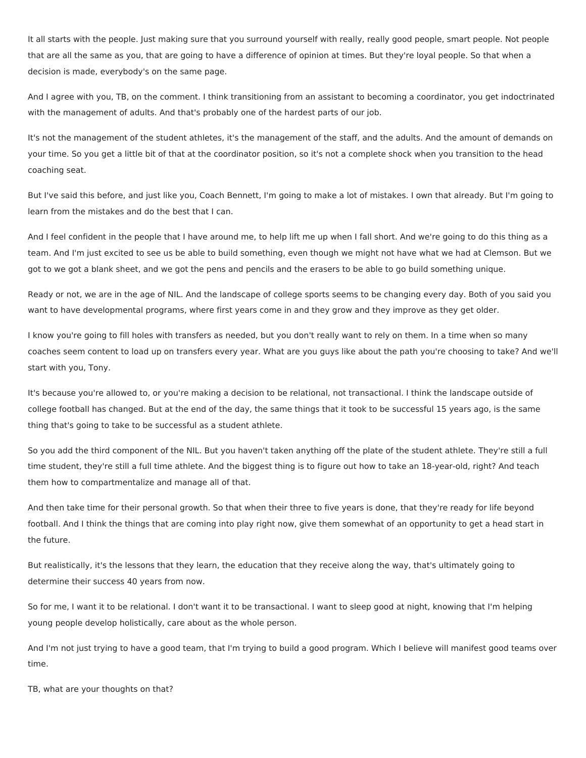It all starts with the people. Just making sure that you surround yourself with really, really good people, smart people. Not people that are all the same as you, that are going to have a difference of opinion at times. But they're loyal people. So that when a decision is made, everybody's on the same page.

And I agree with you, TB, on the comment. I think transitioning from an assistant to becoming a coordinator, you get indoctrinated with the management of adults. And that's probably one of the hardest parts of our job.

It's not the management of the student athletes, it's the management of the staff, and the adults. And the amount of demands on your time. So you get a little bit of that at the coordinator position, so it's not a complete shock when you transition to the head coaching seat.

But I've said this before, and just like you, Coach Bennett, I'm going to make a lot of mistakes. I own that already. But I'm going to learn from the mistakes and do the best that I can.

And I feel confident in the people that I have around me, to help lift me up when I fall short. And we're going to do this thing as a team. And I'm just excited to see us be able to build something, even though we might not have what we had at Clemson. But we got to we got a blank sheet, and we got the pens and pencils and the erasers to be able to go build something unique.

Ready or not, we are in the age of NIL. And the landscape of college sports seems to be changing every day. Both of you said you want to have developmental programs, where first years come in and they grow and they improve as they get older.

I know you're going to fill holes with transfers as needed, but you don't really want to rely on them. In a time when so many coaches seem content to load up on transfers every year. What are you guys like about the path you're choosing to take? And we'll start with you, Tony.

It's because you're allowed to, or you're making a decision to be relational, not transactional. I think the landscape outside of college football has changed. But at the end of the day, the same things that it took to be successful 15 years ago, is the same thing that's going to take to be successful as a student athlete.

So you add the third component of the NIL. But you haven't taken anything off the plate of the student athlete. They're still a full time student, they're still a full time athlete. And the biggest thing is to figure out how to take an 18-year-old, right? And teach them how to compartmentalize and manage all of that.

And then take time for their personal growth. So that when their three to five years is done, that they're ready for life beyond football. And I think the things that are coming into play right now, give them somewhat of an opportunity to get a head start in the future.

But realistically, it's the lessons that they learn, the education that they receive along the way, that's ultimately going to determine their success 40 years from now.

So for me, I want it to be relational. I don't want it to be transactional. I want to sleep good at night, knowing that I'm helping young people develop holistically, care about as the whole person.

And I'm not just trying to have a good team, that I'm trying to build a good program. Which I believe will manifest good teams over time.

TB, what are your thoughts on that?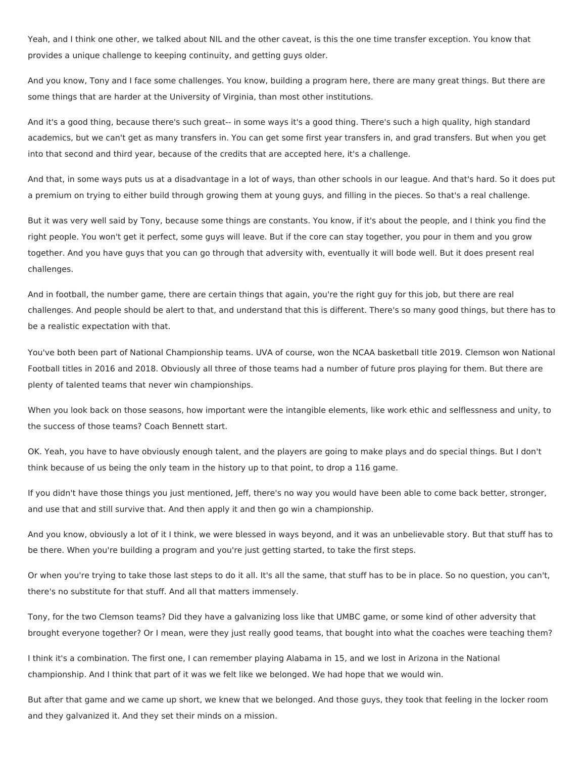Yeah, and I think one other, we talked about NIL and the other caveat, is this the one time transfer exception. You know that provides a unique challenge to keeping continuity, and getting guys older.

And you know, Tony and I face some challenges. You know, building a program here, there are many great things. But there are some things that are harder at the University of Virginia, than most other institutions.

And it's a good thing, because there's such great-- in some ways it's a good thing. There's such a high quality, high standard academics, but we can't get as many transfers in. You can get some first year transfers in, and grad transfers. But when you get into that second and third year, because of the credits that are accepted here, it's a challenge.

And that, in some ways puts us at a disadvantage in a lot of ways, than other schools in our league. And that's hard. So it does put a premium on trying to either build through growing them at young guys, and filling in the pieces. So that's a real challenge.

But it was very well said by Tony, because some things are constants. You know, if it's about the people, and I think you find the right people. You won't get it perfect, some guys will leave. But if the core can stay together, you pour in them and you grow together. And you have guys that you can go through that adversity with, eventually it will bode well. But it does present real challenges.

And in football, the number game, there are certain things that again, you're the right guy for this job, but there are real challenges. And people should be alert to that, and understand that this is different. There's so many good things, but there has to be a realistic expectation with that.

You've both been part of National Championship teams. UVA of course, won the NCAA basketball title 2019. Clemson won National Football titles in 2016 and 2018. Obviously all three of those teams had a number of future pros playing for them. But there are plenty of talented teams that never win championships.

When you look back on those seasons, how important were the intangible elements, like work ethic and selflessness and unity, to the success of those teams? Coach Bennett start.

OK. Yeah, you have to have obviously enough talent, and the players are going to make plays and do special things. But I don't think because of us being the only team in the history up to that point, to drop a 116 game.

If you didn't have those things you just mentioned, Jeff, there's no way you would have been able to come back better, stronger, and use that and still survive that. And then apply it and then go win a championship.

And you know, obviously a lot of it I think, we were blessed in ways beyond, and it was an unbelievable story. But that stuff has to be there. When you're building a program and you're just getting started, to take the first steps.

Or when you're trying to take those last steps to do it all. It's all the same, that stuff has to be in place. So no question, you can't, there's no substitute for that stuff. And all that matters immensely.

Tony, for the two Clemson teams? Did they have a galvanizing loss like that UMBC game, or some kind of other adversity that brought everyone together? Or I mean, were they just really good teams, that bought into what the coaches were teaching them?

I think it's a combination. The first one, I can remember playing Alabama in 15, and we lost in Arizona in the National championship. And I think that part of it was we felt like we belonged. We had hope that we would win.

But after that game and we came up short, we knew that we belonged. And those guys, they took that feeling in the locker room and they galvanized it. And they set their minds on a mission.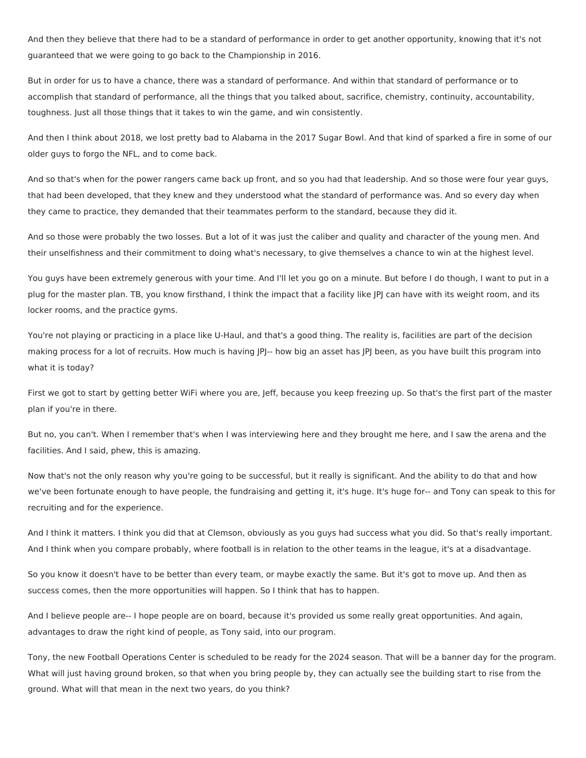And then they believe that there had to be a standard of performance in order to get another opportunity, knowing that it's not guaranteed that we were going to go back to the Championship in 2016.

But in order for us to have a chance, there was a standard of performance. And within that standard of performance or to accomplish that standard of performance, all the things that you talked about, sacrifice, chemistry, continuity, accountability, toughness. Just all those things that it takes to win the game, and win consistently.

And then I think about 2018, we lost pretty bad to Alabama in the 2017 Sugar Bowl. And that kind of sparked a fire in some of our older guys to forgo the NFL, and to come back.

And so that's when for the power rangers came back up front, and so you had that leadership. And so those were four year guys, that had been developed, that they knew and they understood what the standard of performance was. And so every day when they came to practice, they demanded that their teammates perform to the standard, because they did it.

And so those were probably the two losses. But a lot of it was just the caliber and quality and character of the young men. And their unselfishness and their commitment to doing what's necessary, to give themselves a chance to win at the highest level.

You guys have been extremely generous with your time. And I'll let you go on a minute. But before I do though, I want to put in a plug for the master plan. TB, you know firsthand, I think the impact that a facility like JPJ can have with its weight room, and its locker rooms, and the practice gyms.

You're not playing or practicing in a place like U-Haul, and that's a good thing. The reality is, facilities are part of the decision making process for a lot of recruits. How much is having JPJ-- how big an asset has JPJ been, as you have built this program into what it is today?

First we got to start by getting better WiFi where you are, Jeff, because you keep freezing up. So that's the first part of the master plan if you're in there.

But no, you can't. When I remember that's when I was interviewing here and they brought me here, and I saw the arena and the facilities. And I said, phew, this is amazing.

Now that's not the only reason why you're going to be successful, but it really is significant. And the ability to do that and how we've been fortunate enough to have people, the fundraising and getting it, it's huge. It's huge for-- and Tony can speak to this for recruiting and for the experience.

And I think it matters. I think you did that at Clemson, obviously as you guys had success what you did. So that's really important. And I think when you compare probably, where football is in relation to the other teams in the league, it's at a disadvantage.

So you know it doesn't have to be better than every team, or maybe exactly the same. But it's got to move up. And then as success comes, then the more opportunities will happen. So I think that has to happen.

And I believe people are-- I hope people are on board, because it's provided us some really great opportunities. And again, advantages to draw the right kind of people, as Tony said, into our program.

Tony, the new Football Operations Center is scheduled to be ready for the 2024 season. That will be a banner day for the program. What will just having ground broken, so that when you bring people by, they can actually see the building start to rise from the ground. What will that mean in the next two years, do you think?